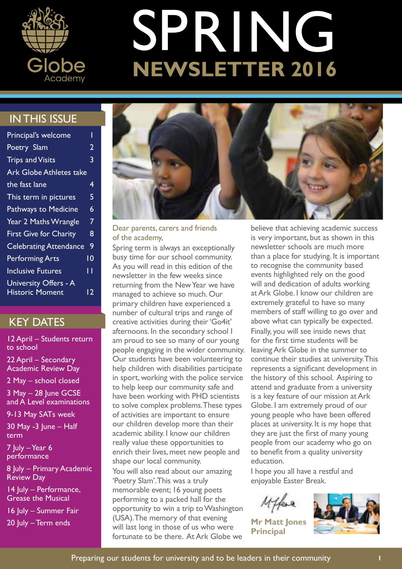

# SPRING **NEWSLETTER 2016**

## IN THIS ISSUE

| Principal's welcome           |                 |
|-------------------------------|-----------------|
| Poetry Slam                   | $\overline{2}$  |
| <b>Trips and Visits</b>       | 3               |
| Ark Globe Athletes take       |                 |
| the fast lane                 | 4               |
| This term in pictures         | 5               |
| Pathways to Medicine          | 6               |
| <b>Year 2 Maths Wrangle</b>   | 7               |
| <b>First Give for Charity</b> | 8               |
| <b>Celebrating Attendance</b> | 9               |
| <b>Performing Arts</b>        | $\overline{10}$ |
| <b>Inclusive Futures</b>      | п               |
| University Offers - A         |                 |
| <b>Historic Moment</b>        | 12.             |

### KEY DATES

12 April – Students return to school

22 April – Secondary Academic Review Day

2 May – school closed

3 May – 28 June GCSE and A Level examinations

9-13 May SATs week

30 May -3 June – Half term

7 July – Year 6 performance

8 July – Primary Academic Review Day

14 July – Performance, Grease the Musical

16 July – Summer Fair

20 July – Term ends



Dear parents, carers and friends of the academy,

Spring term is always an exceptionally busy time for our school community. As you will read in this edition of the newsletter in the few weeks since returning from the New Year we have managed to achieve so much. Our primary children have experienced a number of cultural trips and range of creative activities during their 'Go4it' afternoons. In the secondary school I am proud to see so many of our young people engaging in the wider community. Our students have been volunteering to help children with disabilities participate in sport, working with the police service to help keep our community safe and have been working with PHD scientists to solve complex problems. These types of activities are important to ensure our children develop more than their academic ability. I know our children really value these opportunities to enrich their lives, meet new people and shape our local community.

You will also read about our amazing 'Poetry Slam'. This was a truly memorable event; 16 young poets performing to a packed hall for the opportunity to win a trip to Washington (USA). The memory of that evening will last long in those of us who were fortunate to be there. At Ark Globe we

believe that achieving academic success is very important, but as shown in this newsletter schools are much more than a place for studying. It is important to recognise the community based events highlighted rely on the good will and dedication of adults working at Ark Globe. I know our children are extremely grateful to have so many members of staff willing to go over and above what can typically be expected. Finally, you will see inside news that for the first time students will be leaving Ark Globe in the summer to continue their studies at university. This represents a significant development in the history of this school. Aspiring to attend and graduate from a university is a key feature of our mission at Ark Globe. I am extremely proud of our young people who have been offered places at university. It is my hope that they are just the first of many young people from our academy who go on to benefit from a quality university education.

I hope you all have a restful and enjoyable Easter Break.

**Mr Matt Jones Principal**

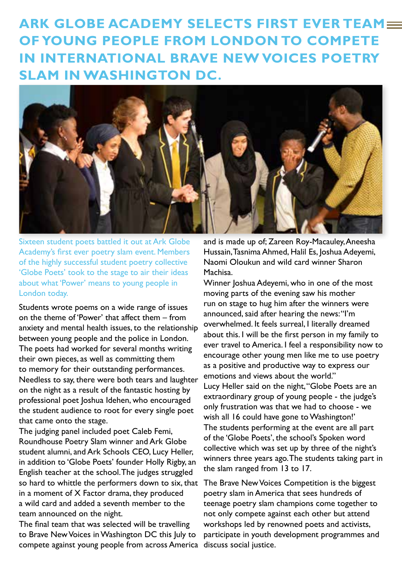**ARK GLOBE ACADEMY SELECTS FIRST EVER TEAM= OF YOUNG PEOPLE FROM LONDON TO COMPETE IN INTERNATIONAL BRAVE NEW VOICES POETRY SLAM IN WASHINGTON DC.**



Sixteen student poets battled it out at Ark Globe Academy's first ever poetry slam event. Members of the highly successful student poetry collective 'Globe Poets' took to the stage to air their ideas about what 'Power' means to young people in London today.

Students wrote poems on a wide range of issues on the theme of 'Power' that affect them – from anxiety and mental health issues, to the relationship between young people and the police in London. The poets had worked for several months writing their own pieces, as well as committing them to memory for their outstanding performances. Needless to say, there were both tears and laughter on the night as a result of the fantastic hosting by professional poet Joshua Idehen, who encouraged the student audience to root for every single poet that came onto the stage.

The judging panel included poet Caleb Femi, Roundhouse Poetry Slam winner and Ark Globe student alumni, and Ark Schools CEO, Lucy Heller, in addition to 'Globe Poets' founder Holly Rigby, an English teacher at the school. The judges struggled so hard to whittle the performers down to six, that in a moment of X Factor drama, they produced a wild card and added a seventh member to the team announced on the night.

The final team that was selected will be travelling to Brave New Voices in Washington DC this July to compete against young people from across America

and is made up of; Zareen Roy-Macauley, Aneesha Hussain, Tasnima Ahmed, Halil Es, Joshua Adeyemi, Naomi Oloukun and wild card winner Sharon Machisa.

Winner Joshua Adeyemi, who in one of the most moving parts of the evening saw his mother run on stage to hug him after the winners were announced, said after hearing the news: "I'm overwhelmed. It feels surreal, I literally dreamed about this. I will be the first person in my family to ever travel to America. I feel a responsibility now to encourage other young men like me to use poetry as a positive and productive way to express our emotions and views about the world." Lucy Heller said on the night, "Globe Poets are an extraordinary group of young people - the judge's only frustration was that we had to choose - we wish all 16 could have gone to Washington!' The students performing at the event are all part of the 'Globe Poets', the school's Spoken word collective which was set up by three of the night's winners three years ago. The students taking part in the slam ranged from 13 to 17.

The Brave New Voices Competition is the biggest poetry slam in America that sees hundreds of teenage poetry slam champions come together to not only compete against each other but attend workshops led by renowned poets and activists, participate in youth development programmes and discuss social justice.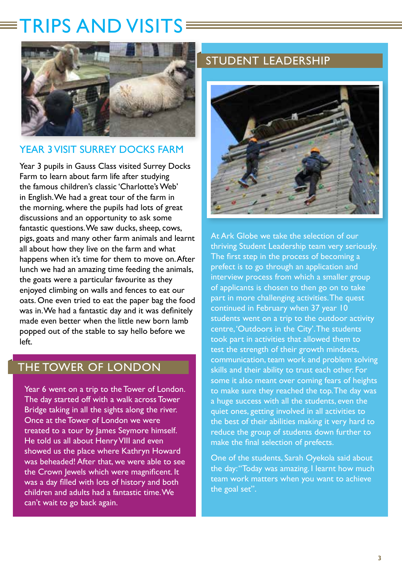## TRIPS AND VISITS



### YEAR 3 VISIT SURREY DOCKS FARM

Year 3 pupils in Gauss Class visited Surrey Docks Farm to learn about farm life after studying the famous children's classic 'Charlotte's Web' in English. We had a great tour of the farm in the morning, where the pupils had lots of great discussions and an opportunity to ask some fantastic questions. We saw ducks, sheep, cows, pigs, goats and many other farm animals and learnt all about how they live on the farm and what happens when it's time for them to move on. After lunch we had an amazing time feeding the animals, the goats were a particular favourite as they enjoyed climbing on walls and fences to eat our oats. One even tried to eat the paper bag the food was in. We had a fantastic day and it was definitely made even better when the little new born lamb popped out of the stable to say hello before we left.

## THE TOWER OF LONDON

Year 6 went on a trip to the Tower of London. The day started off with a walk across Tower Bridge taking in all the sights along the river. Once at the Tower of London we were treated to a tour by James Seymore himself. He told us all about Henry VIII and even showed us the place where Kathryn Howard was beheaded! After that, we were able to see the Crown lewels which were magnificent. It was a day filled with lots of history and both children and adults had a fantastic time. We can't wait to go back again.

## STUDENT LEADERSHIP



At Ark Globe we take the selection of our thriving Student Leadership team very seriously. The first step in the process of becoming a prefect is to go through an application and interview process from which a smaller group of applicants is chosen to then go on to take part in more challenging activities. The quest continued in February when 37 year 10 students went on a trip to the outdoor activity centre, 'Outdoors in the City'. The students took part in activities that allowed them to test the strength of their growth mindsets, communication, team work and problem solving skills and their ability to trust each other. For some it also meant over coming fears of heights to make sure they reached the top. The day was a huge success with all the students, even the quiet ones, getting involved in all activities to the best of their abilities making it very hard to reduce the group of students down further to make the final selection of prefects.

One of the students, Sarah Oyekola said about the day: "Today was amazing. I learnt how much team work matters when you want to achieve the goal set".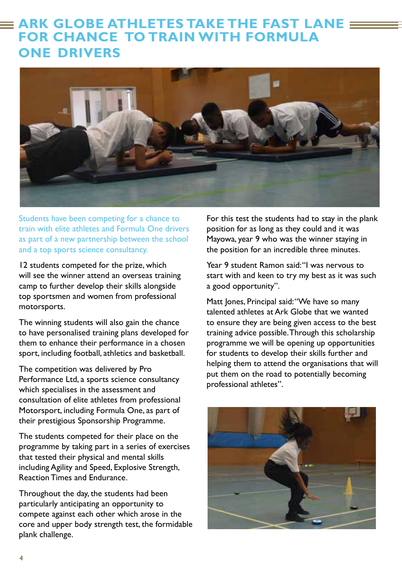## **ARK GLOBE ATHLETES TAKE THE FAST LANE FOR CHANCE TO TRAIN WITH FORMULA ONE DRIVERS**



Students have been competing for a chance to train with elite athletes and Formula One drivers as part of a new partnership between the school and a top sports science consultancy.

12 students competed for the prize, which will see the winner attend an overseas training camp to further develop their skills alongside top sportsmen and women from professional motorsports.

The winning students will also gain the chance to have personalised training plans developed for them to enhance their performance in a chosen sport, including football, athletics and basketball.

The competition was delivered by Pro Performance Ltd, a sports science consultancy which specialises in the assessment and consultation of elite athletes from professional Motorsport, including Formula One, as part of their prestigious Sponsorship Programme.

The students competed for their place on the programme by taking part in a series of exercises that tested their physical and mental skills including Agility and Speed, Explosive Strength, Reaction Times and Endurance.

Throughout the day, the students had been particularly anticipating an opportunity to compete against each other which arose in the core and upper body strength test, the formidable plank challenge.

For this test the students had to stay in the plank position for as long as they could and it was Mayowa, year 9 who was the winner staying in the position for an incredible three minutes.

Year 9 student Ramon said: "I was nervous to start with and keen to try my best as it was such a good opportunity".

Matt Jones, Principal said: "We have so many talented athletes at Ark Globe that we wanted to ensure they are being given access to the best training advice possible. Through this scholarship programme we will be opening up opportunities for students to develop their skills further and helping them to attend the organisations that will put them on the road to potentially becoming professional athletes".

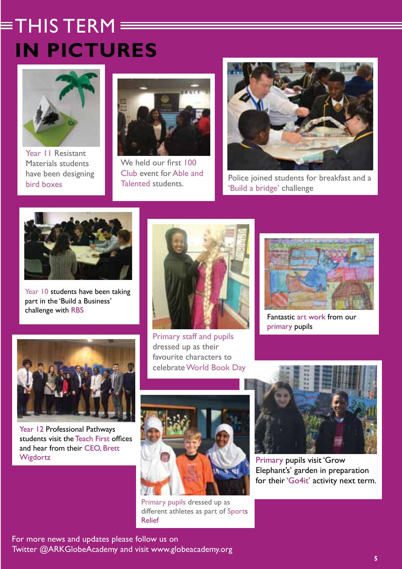## $\equiv$ THIS TERM $\equiv$ **IN PICTURES**



Year 11 Resistant Materials students have been designing bird boxes



We held our first 100 Club event for Able and



Police joined students for breakfast and a 'Build a bridge' challenge



Year 10 students have been taking part in the 'Build a Business' challenge with RBS



dressed up as their favourite characters to celebrate World Book Day



Fantastic art work from our primary pupils



Year 12 Professional Pathways students visit the Teach First offices and hear from their CEO, Brett Wigdortz



Primary pupils dressed up as different athletes as part of Sports Relief



Primary pupils visit 'Grow Elephant's' garden in preparation for their 'Go4it' activity next term.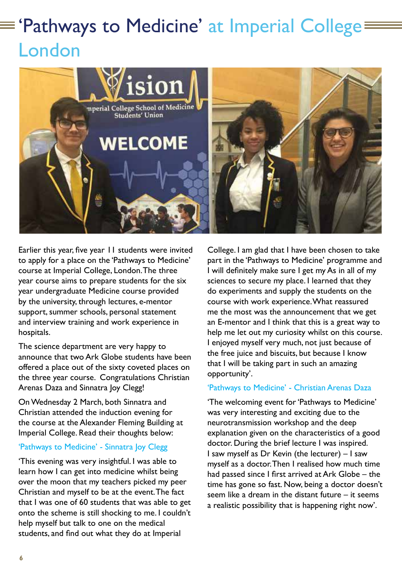## $\equiv$  'Pathways to Medicine' at Imperial College= London



Earlier this year, five year 11 students were invited to apply for a place on the 'Pathways to Medicine' course at Imperial College, London. The three year course aims to prepare students for the six year undergraduate Medicine course provided by the university, through lectures, e-mentor support, summer schools, personal statement and interview training and work experience in hospitals.

The science department are very happy to announce that two Ark Globe students have been offered a place out of the sixty coveted places on the three year course. Congratulations Christian Arenas Daza and Sinnatra Joy Clegg!

On Wednesday 2 March, both Sinnatra and Christian attended the induction evening for the course at the Alexander Fleming Building at Imperial College. Read their thoughts below:

#### 'Pathways to Medicine' - Sinnatra Joy Clegg

'This evening was very insightful. I was able to learn how I can get into medicine whilst being over the moon that my teachers picked my peer Christian and myself to be at the event. The fact that I was one of 60 students that was able to get onto the scheme is still shocking to me. I couldn't help myself but talk to one on the medical students, and find out what they do at Imperial

College. I am glad that I have been chosen to take part in the 'Pathways to Medicine' programme and I will definitely make sure I get my As in all of my sciences to secure my place. I learned that they do experiments and supply the students on the course with work experience. What reassured me the most was the announcement that we get an E-mentor and I think that this is a great way to help me let out my curiosity whilst on this course. I enjoyed myself very much, not just because of the free juice and biscuits, but because I know that I will be taking part in such an amazing opportunity'.

#### 'Pathways to Medicine' - Christian Arenas Daza

'The welcoming event for 'Pathways to Medicine' was very interesting and exciting due to the neurotransmission workshop and the deep explanation given on the characteristics of a good doctor. During the brief lecture I was inspired. I saw myself as Dr Kevin (the lecturer) – I saw myself as a doctor. Then I realised how much time had passed since I first arrived at Ark Globe – the time has gone so fast. Now, being a doctor doesn't seem like a dream in the distant future – it seems a realistic possibility that is happening right now'.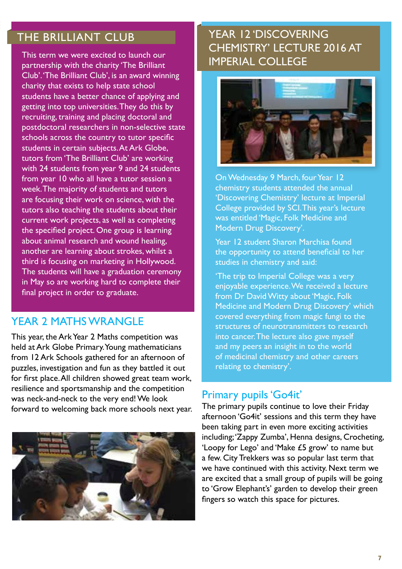## THE BRILLIANT CLUB

This term we were excited to launch our **Fig. 1.1 IMPERIAL COLLEGE**<br>partnership with the charity 'The Brilliant Club'. 'The Brilliant Club', is an award winning charity that exists to help state school students have a better chance of applying and getting into top universities. They do this by recruiting, training and placing doctoral and postdoctoral researchers in non-selective state schools across the country to tutor specific students in certain subjects. At Ark Globe, tutors from 'The Brilliant Club' are working with 24 students from year 9 and 24 students from year 10 who all have a tutor session a week. The majority of students and tutors are focusing their work on science, with the tutors also teaching the students about their current work projects, as well as completing the specified project. One group is learning about animal research and wound healing, another are learning about strokes, whilst a third is focusing on marketing in Hollywood. The students will have a graduation ceremony in May so are working hard to complete their final project in order to graduate.

### YFAR 2 MATHS WRANGLE

This year, the Ark Year 2 Maths competition was held at Ark Globe Primary. Young mathematicians from 12 Ark Schools gathered for an afternoon of puzzles, investigation and fun as they battled it out for first place. All children showed great team work, resilience and sportsmanship and the competition was neck-and-neck to the very end! We look forward to welcoming back more schools next year.



## YEAR 12 'DISCOVERING CHEMISTRY' LECTURE 2016 AT



On Wednesday 9 March, four Year 12 chemistry students attended the annual 'Discovering Chemistry' lecture at Imperial College provided by SCI. This year's lecture was entitled 'Magic, Folk Medicine and Modern Drug Discovery'.

Year 12 student Sharon Marchisa found the opportunity to attend beneficial to her studies in chemistry and said:

'The trip to Imperial College was a very enjoyable experience. We received a lecture from Dr David Witty about 'Magic, Folk Medicine and Modern Drug Discovery' which covered everything from magic fungi to the structures of neurotransmitters to research into cancer. The lecture also gave myself and my peers an insight in to the world of medicinal chemistry and other careers relating to chemistry'.

### Primary pupils 'Go4it'

The primary pupils continue to love their Friday afternoon 'Go4it' sessions and this term they have been taking part in even more exciting activities including; 'Zappy Zumba', Henna designs, Crocheting, 'Loopy for Lego' and 'Make £5 grow' to name but a few. City Trekkers was so popular last term that we have continued with this activity. Next term we are excited that a small group of pupils will be going to 'Grow Elephant's' garden to develop their green fingers so watch this space for pictures.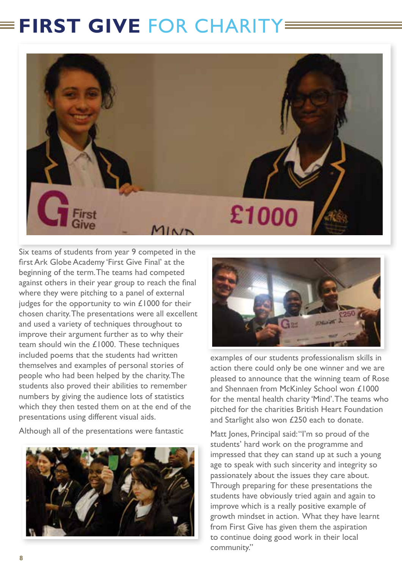## **FIRST GIVE FOR CHARITY**



Six teams of students from year 9 competed in the first Ark Globe Academy 'First Give Final' at the beginning of the term. The teams had competed against others in their year group to reach the final where they were pitching to a panel of external judges for the opportunity to win £1000 for their chosen charity. The presentations were all excellent and used a variety of techniques throughout to improve their argument further as to why their team should win the £1000. These techniques included poems that the students had written themselves and examples of personal stories of people who had been helped by the charity. The students also proved their abilities to remember numbers by giving the audience lots of statistics which they then tested them on at the end of the presentations using different visual aids.

Although all of the presentations were fantastic





examples of our students professionalism skills in action there could only be one winner and we are pleased to announce that the winning team of Rose and Shennaen from McKinley School won £1000 for the mental health charity 'Mind'. The teams who pitched for the charities British Heart Foundation and Starlight also won £250 each to donate.

Matt Jones, Principal said: "I'm so proud of the students' hard work on the programme and impressed that they can stand up at such a young age to speak with such sincerity and integrity so passionately about the issues they care about. Through preparing for these presentations the students have obviously tried again and again to improve which is a really positive example of growth mindset in action. What they have learnt from First Give has given them the aspiration to continue doing good work in their local community."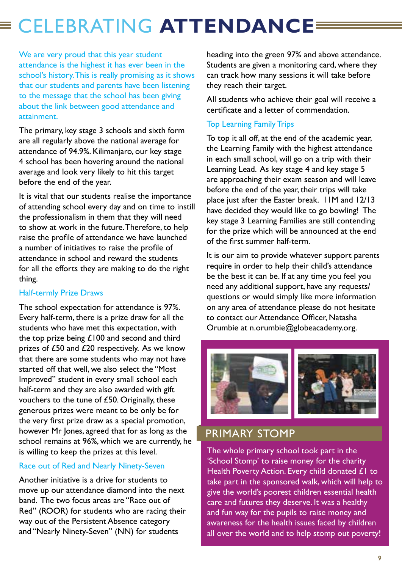## CELEBRATING **ATTENDANCE**

We are very proud that this year student attendance is the highest it has ever been in the school's history. This is really promising as it shows that our students and parents have been listening to the message that the school has been giving about the link between good attendance and attainment.

The primary, key stage 3 schools and sixth form are all regularly above the national average for attendance of 94.9%. Kilimanjaro, our key stage 4 school has been hovering around the national average and look very likely to hit this target before the end of the year.

It is vital that our students realise the importance of attending school every day and on time to instill the professionalism in them that they will need to show at work in the future. Therefore, to help raise the profile of attendance we have launched a number of initiatives to raise the profile of attendance in school and reward the students for all the efforts they are making to do the right thing.

#### Half-termly Prize Draws

The school expectation for attendance is 97%. Every half-term, there is a prize draw for all the students who have met this expectation, with the top prize being £100 and second and third prizes of £50 and £20 respectively. As we know that there are some students who may not have started off that well, we also select the "Most Improved" student in every small school each half-term and they are also awarded with gift vouchers to the tune of £50. Originally, these generous prizes were meant to be only be for the very first prize draw as a special promotion, however Mr Jones, agreed that for as long as the school remains at 96%, which we are currently, he is willing to keep the prizes at this level.

#### Race out of Red and Nearly Ninety-Seven

Another initiative is a drive for students to move up our attendance diamond into the next band. The two focus areas are "Race out of Red" (ROOR) for students who are racing their way out of the Persistent Absence category and "Nearly Ninety-Seven" (NN) for students

heading into the green 97% and above attendance. Students are given a monitoring card, where they can track how many sessions it will take before they reach their target.

All students who achieve their goal will receive a certificate and a letter of commendation.

#### Top Learning Family Trips

To top it all off, at the end of the academic year, the Learning Family with the highest attendance in each small school, will go on a trip with their Learning Lead. As key stage 4 and key stage 5 are approaching their exam season and will leave before the end of the year, their trips will take place just after the Easter break. 11M and 12/13 have decided they would like to go bowling! The key stage 3 Learning Families are still contending for the prize which will be announced at the end of the first summer half-term.

It is our aim to provide whatever support parents require in order to help their child's attendance be the best it can be. If at any time you feel you need any additional support, have any requests/ questions or would simply like more information on any area of attendance please do not hesitate to contact our Attendance Officer, Natasha Orumbie at n.orumbie@globeacademy.org.



## PRIMARY STOMP

The whole primary school took part in the 'School Stomp' to raise money for the charity Health Poverty Action. Every child donated £1 to take part in the sponsored walk, which will help to give the world's poorest children essential health care and futures they deserve. It was a healthy and fun way for the pupils to raise money and awareness for the health issues faced by children all over the world and to help stomp out poverty!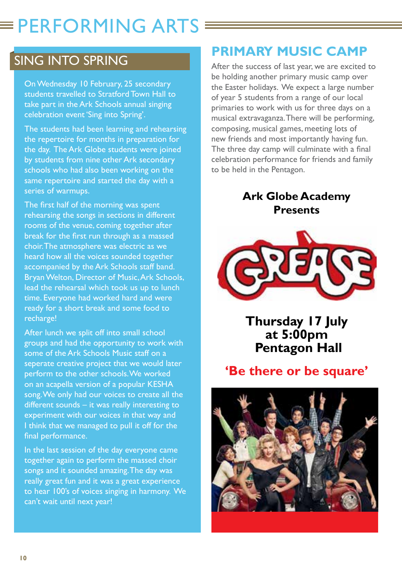## $\equiv$  PERFORMING ARTS  $\equiv$

## SING INTO SPRING

On Wednesday 10 February, 25 secondary students travelled to Stratford Town Hall to take part in the Ark Schools annual singing celebration event 'Sing into Spring'.

The students had been learning and rehearsing the repertoire for months in preparation for the day. The Ark Globe students were joined by students from nine other Ark secondary schools who had also been working on the same repertoire and started the day with a series of warmups.

The first half of the morning was spent rehearsing the songs in sections in different rooms of the venue, coming together after break for the first run through as a massed choir. The atmosphere was electric as we heard how all the voices sounded together accompanied by the Ark Schools staff band. Bryan Welton, Director of Music, Ark Schools, lead the rehearsal which took us up to lunch time. Everyone had worked hard and were ready for a short break and some food to recharge!

After lunch we split off into small school groups and had the opportunity to work with some of the Ark Schools Music staff on a seperate creative project that we would later perform to the other schools. We worked on an acapella version of a popular KESHA song. We only had our voices to create all the different sounds – it was really interesting to experiment with our voices in that way and I think that we managed to pull it off for the final performance.

In the last session of the day everyone came together again to perform the massed choir songs and it sounded amazing. The day was really great fun and it was a great experience to hear 100's of voices singing in harmony. We can't wait until next year!

## **PRIMARY MUSIC CAMP**

After the success of last year, we are excited to be holding another primary music camp over the Easter holidays. We expect a large number of year 5 students from a range of our local primaries to work with us for three days on a musical extravaganza. There will be performing, composing, musical games, meeting lots of new friends and most importantly having fun. The three day camp will culminate with a final celebration performance for friends and family to be held in the Pentagon.

## **Ark Globe Academy Presents**



**Thursday 17 July at 5:00pm Pentagon Hall** 

## **'Be there or be square'**

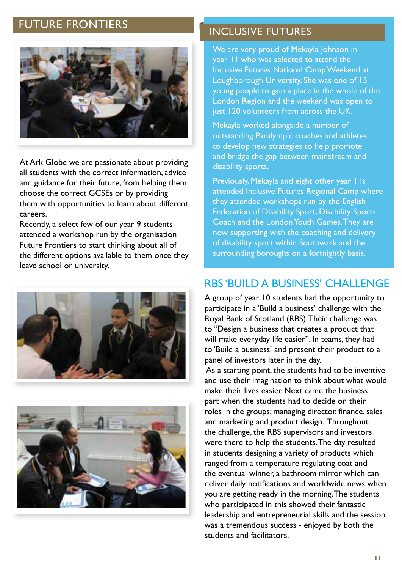## **FUTURE FRONTIERS EXECUTIVE FUTURES**



At Ark Globe we are passionate about providing all students with the correct information, advice and guidance for their future, from helping them choose the correct GCSEs or by providing them with opportunities to learn about different careers.

Recently, a select few of our year 9 students attended a workshop run by the organisation Future Frontiers to start thinking about all of the different options available to them once they leave school or university.





We are very proud of Mekayla Johnson in year 11 who was selected to attend the Inclusive Futures National Camp Weekend at Loughborough University. She was one of 15 young people to gain a place in the whole of the London Region and the weekend was open to just 120 volunteers from across the UK.

Mekayla worked alongside a number of outstanding Paralympic coaches and athletes to develop new strategies to help promote and bridge the gap between mainstream and disability sports.

Previously, Mekayla and eight other year IIs attended Inclusive Futures Regional Camp where they attended workshops run by the English Federation of Disability Sport, Disability Sports Coach and the London Youth Games. They are now supporting with the coaching and delivery of disability sport within Southwark and the surrounding boroughs on a fortnightly basis.

### RBS 'BUILD A BUSINESS' CHALLENGE

A group of year 10 students had the opportunity to participate in a 'Build a business' challenge with the Royal Bank of Scotland (RBS). Their challenge was to "Design a business that creates a product that will make everyday life easier". In teams, they had to 'Build a business' and present their product to a panel of investors later in the day.

 As a starting point, the students had to be inventive and use their imagination to think about what would make their lives easier. Next came the business part when the students had to decide on their roles in the groups; managing director, finance, sales and marketing and product design. Throughout the challenge, the RBS supervisors and investors were there to help the students. The day resulted in students designing a variety of products which ranged from a temperature regulating coat and the eventual winner, a bathroom mirror which can deliver daily notifications and worldwide news when you are getting ready in the morning. The students who participated in this showed their fantastic leadership and entrepreneurial skills and the session was a tremendous success - enjoyed by both the students and facilitators.